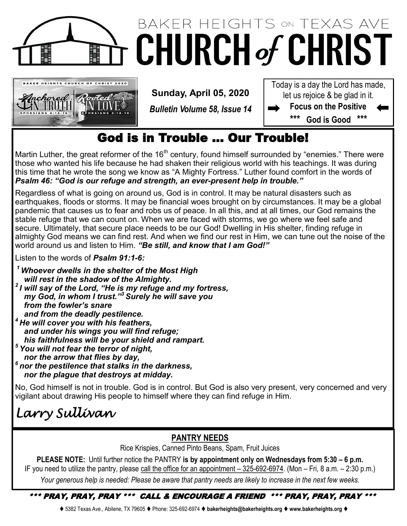

## BAKER HEIGHTS ON TEXAS AVE **CHURCH of CHRIST**



**Sunday, April 05, 2020**

*Bulletin Volume 58, Issue 14*

Today is a day the Lord has made, let us rejoice & be glad in it.

**Focus on the Positive \*\*\* God is Good \*\*\***

### God is in Trouble … Our Trouble!

Martin Luther, the great reformer of the  $16<sup>th</sup>$  century, found himself surrounded by "enemies." There were those who wanted his life because he had shaken their religious world with his teachings. It was during this time that he wrote the song we know as "A Mighty Fortress." Luther found comfort in the words of *Psalm 46: "God is our refuge and strength, an ever-present help in trouble."*

Regardless of what is going on around us, God is in control. It may be natural disasters such as earthquakes, floods or storms. It may be financial woes brought on by circumstances. It may be a global pandemic that causes us to fear and robs us of peace. In all this, and at all times, our God remains the stable refuge that we can count on. When we are faced with storms, we go where we feel safe and secure. Ultimately, that secure place needs to be our God! Dwelling in His shelter, finding refuge in almighty God means we can find rest. And when we find our rest in Him, we can tune out the noise of the world around us and listen to Him. *"Be still, and know that I am God!"*

Listen to the words of *Psalm 91:1-6:*

*<sup>1</sup> Whoever dwells in the shelter of the Most High will rest in the shadow of the Almighty.* 

*2 I will say of the Lord, "He is my refuge and my fortress, my God, in whom I trust." <sup>3</sup> Surely he will save you from the fowler's snare and from the deadly pestilence. <sup>4</sup> He will cover you with his feathers, and under his wings you will find refuge;*

 *his faithfulness will be your shield and rampart.*

- *<sup>5</sup> You will not fear the terror of night,*
- *nor the arrow that flies by day,*
- *6 nor the pestilence that stalks in the darkness, nor the plague that destroys at midday.*

No, God himself is not in trouble. God is in control. But God is also very present, very concerned and very vigilant about drawing His people to himself where they can find refuge in Him.

*Larry Sullivan* 

#### **PANTRY NEEDS**

Rice Krispies, Canned Pinto Beans, Spam, Fruit Juices

**PLEASE NOTE:** Until further notice the PANTRY **is by appointment only on Wednesdays from 5:30 – 6 p.m.**  IF you need to utilize the pantry, please call the office for an appointment – 325-692-6974. (Mon – Fri, 8 a.m. – 2:30 p.m.) *Your generous help is needed: Please be aware that pantry needs are likely to increase in the next few weeks.*

#### \*\*\* PRAY, PRAY, PRAY \*\*\* CALL & ENCOURAGE A FRIEND \*\*\* PRAY, PRAY, PRAY \*\*\*

⧫ 5382 Texas Ave., Abilene, TX 79605 ⧫ Phone: 325-692-6974 ⧫ **bakerheights@bakerheights.org** ⧫ **www.bakerheights.org** ⧫